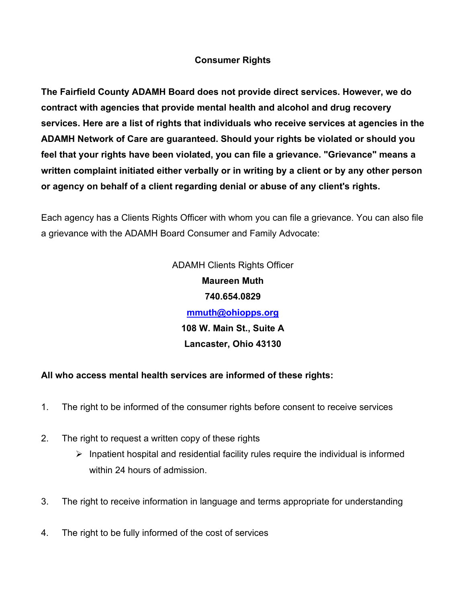## **Consumer Rights**

**The Fairfield County ADAMH Board does not provide direct services. However, we do contract with agencies that provide mental health and alcohol and drug recovery services. Here are a list of rights that individuals who receive services at agencies in the ADAMH Network of Care are guaranteed. Should your rights be violated or should you feel that your rights have been violated, you can file a grievance. "Grievance" means a written complaint initiated either verbally or in writing by a client or by any other person or agency on behalf of a client regarding denial or abuse of any client's rights.**

Each agency has a Clients Rights Officer with whom you can file a grievance. You can also file a grievance with the ADAMH Board Consumer and Family Advocate:

> ADAMH Clients Rights Officer **Maureen Muth 740.654.0829 [mmuth@ohiopps.org](mailto:mmuth@ohiopps.org) 108 W. Main St., Suite A Lancaster, Ohio 43130**

## **All who access mental health services are informed of these rights:**

- 1. The right to be informed of the consumer rights before consent to receive services
- 2. The right to request a written copy of these rights
	- $\triangleright$  Inpatient hospital and residential facility rules require the individual is informed within 24 hours of admission.
- 3. The right to receive information in language and terms appropriate for understanding
- 4. The right to be fully informed of the cost of services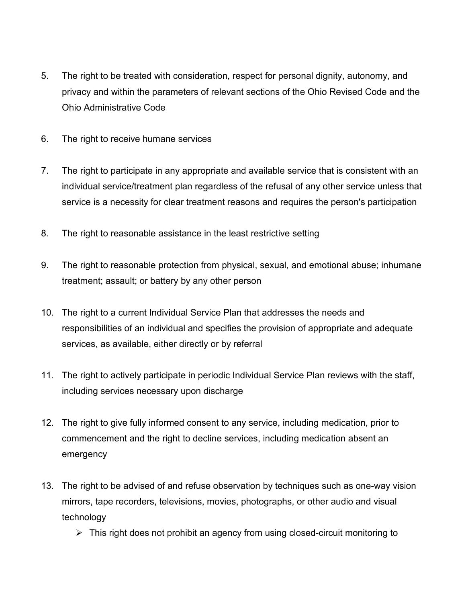- 5. The right to be treated with consideration, respect for personal dignity, autonomy, and privacy and within the parameters of relevant sections of the Ohio Revised Code and the Ohio Administrative Code
- 6. The right to receive humane services
- 7. The right to participate in any appropriate and available service that is consistent with an individual service/treatment plan regardless of the refusal of any other service unless that service is a necessity for clear treatment reasons and requires the person's participation
- 8. The right to reasonable assistance in the least restrictive setting
- 9. The right to reasonable protection from physical, sexual, and emotional abuse; inhumane treatment; assault; or battery by any other person
- 10. The right to a current Individual Service Plan that addresses the needs and responsibilities of an individual and specifies the provision of appropriate and adequate services, as available, either directly or by referral
- 11. The right to actively participate in periodic Individual Service Plan reviews with the staff, including services necessary upon discharge
- 12. The right to give fully informed consent to any service, including medication, prior to commencement and the right to decline services, including medication absent an emergency
- 13. The right to be advised of and refuse observation by techniques such as one-way vision mirrors, tape recorders, televisions, movies, photographs, or other audio and visual technology
	- $\triangleright$  This right does not prohibit an agency from using closed-circuit monitoring to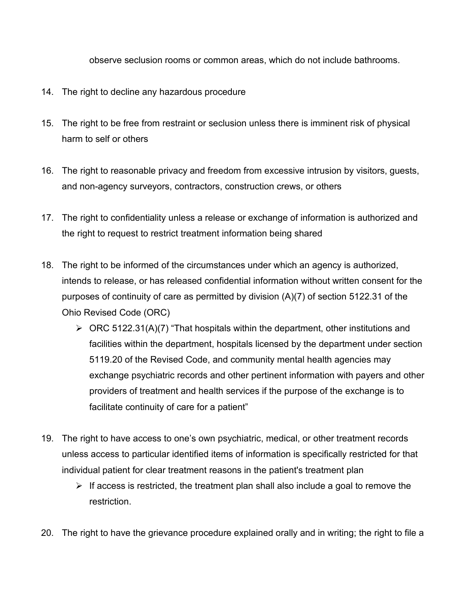observe seclusion rooms or common areas, which do not include bathrooms.

- 14. The right to decline any hazardous procedure
- 15. The right to be free from restraint or seclusion unless there is imminent risk of physical harm to self or others
- 16. The right to reasonable privacy and freedom from excessive intrusion by visitors, guests, and non-agency surveyors, contractors, construction crews, or others
- 17. The right to confidentiality unless a release or exchange of information is authorized and the right to request to restrict treatment information being shared
- 18. The right to be informed of the circumstances under which an agency is authorized, intends to release, or has released confidential information without written consent for the purposes of continuity of care as permitted by division (A)(7) of section 5122.31 of the Ohio Revised Code (ORC)
	- $\triangleright$  ORC 5122.31(A)(7) "That hospitals within the department, other institutions and facilities within the department, hospitals licensed by the department under section 5119.20 of the Revised Code, and community mental health agencies may exchange psychiatric records and other pertinent information with payers and other providers of treatment and health services if the purpose of the exchange is to facilitate continuity of care for a patient"
- 19. The right to have access to one's own psychiatric, medical, or other treatment records unless access to particular identified items of information is specifically restricted for that individual patient for clear treatment reasons in the patient's treatment plan
	- $\triangleright$  If access is restricted, the treatment plan shall also include a goal to remove the restriction.
- 20. The right to have the grievance procedure explained orally and in writing; the right to file a